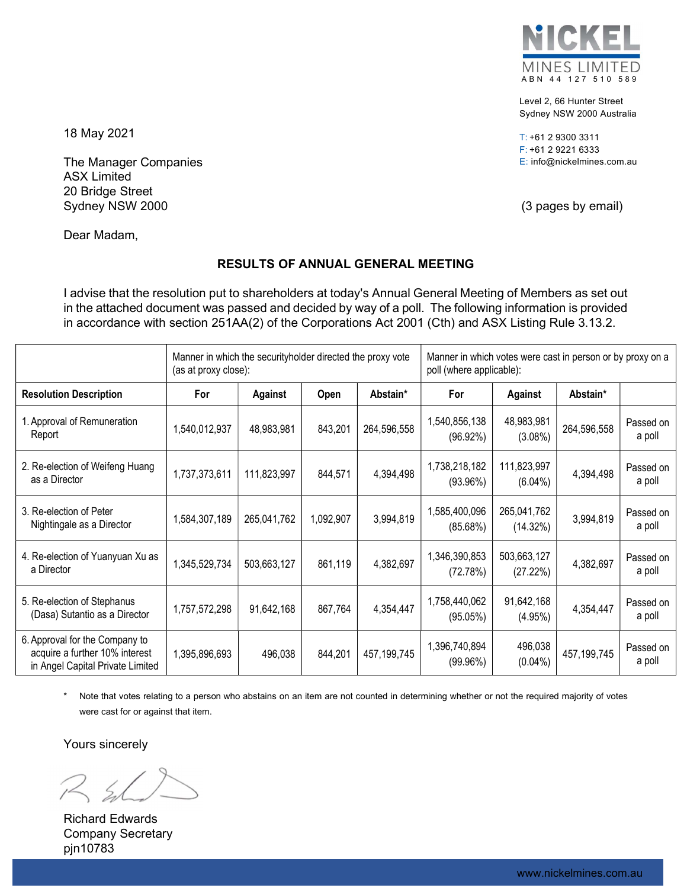

Level 2, 66 Hunter Street Sydney NSW 2000 Australia

T: +61 2 9300 3311 F: +61 2 9221 6333 E: info@nickelmines.com.au

18 May 2021

The Manager Companies ASX Limited 20 Bridge Street Sydney NSW 2000 (3 pages by email)

Dear Madam,

# RESULTS OF ANNUAL GENERAL MEETING

I advise that the resolution put to shareholders at today's Annual General Meeting of Members as set out in the attached document was passed and decided by way of a poll. The following information is provided in accordance with section 251AA(2) of the Corporations Act 2001 (Cth) and ASX Listing Rule 3.13.2.

|                                                                                                      | Manner in which the securityholder directed the proxy vote<br>(as at proxy close): |             |           |             | Manner in which votes were cast in person or by proxy on a<br>poll (where applicable): |                           |               |                     |
|------------------------------------------------------------------------------------------------------|------------------------------------------------------------------------------------|-------------|-----------|-------------|----------------------------------------------------------------------------------------|---------------------------|---------------|---------------------|
| <b>Resolution Description</b>                                                                        | For                                                                                | Against     | Open      | Abstain*    | For                                                                                    | Against                   | Abstain*      |                     |
| 1. Approval of Remuneration<br>Report                                                                | 1,540,012,937                                                                      | 48,983,981  | 843,201   | 264,596,558 | 1,540,856,138<br>(96.92%)                                                              | 48,983,981<br>$(3.08\%)$  | 264,596,558   | Passed on<br>a poll |
| 2. Re-election of Weifeng Huang<br>as a Director                                                     | 1,737,373,611                                                                      | 111,823,997 | 844,571   | 4,394,498   | 1,738,218,182<br>(93.96%)                                                              | 111,823,997<br>$(6.04\%)$ | 4,394,498     | Passed on<br>a poll |
| 3. Re-election of Peter<br>Nightingale as a Director                                                 | 1,584,307,189                                                                      | 265,041,762 | 1,092,907 | 3,994,819   | 1,585,400,096<br>(85.68%)                                                              | 265,041,762<br>(14.32%)   | 3,994,819     | Passed on<br>a poll |
| 4. Re-election of Yuanyuan Xu as<br>a Director                                                       | 1,345,529,734                                                                      | 503,663,127 | 861,119   | 4,382,697   | 1,346,390,853<br>(72.78%)                                                              | 503,663,127<br>(27.22%)   | 4,382,697     | Passed on<br>a poll |
| 5. Re-election of Stephanus<br>(Dasa) Sutantio as a Director                                         | 1,757,572,298                                                                      | 91,642,168  | 867,764   | 4,354,447   | 1,758,440,062<br>(95.05%)                                                              | 91,642,168<br>(4.95%)     | 4,354,447     | Passed on<br>a poll |
| 6. Approval for the Company to<br>acquire a further 10% interest<br>in Angel Capital Private Limited | 1,395,896,693                                                                      | 496,038     | 844,201   | 457,199,745 | 1,396,740,894<br>(99.96%)                                                              | 496,038<br>$(0.04\%)$     | 457, 199, 745 | Passed on<br>a poll |

Note that votes relating to a person who abstains on an item are not counted in determining whether or not the required majority of votes were cast for or against that item.

Yours sincerely

Richard Edwards Company Secretary pjn10783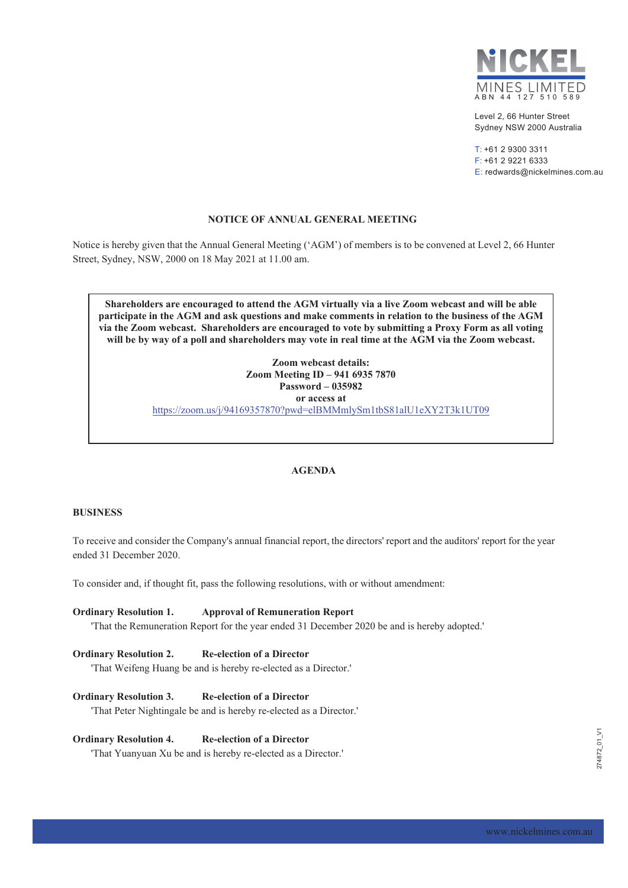

Level 2, 66 Hunter Street Sydney NSW 2000 Australia

 $T: +61$  2 9300 3311  $F: +61292216333$ E: redwards@nickelmines.com.au

## NOTICE OF ANNUAL GENERAL MEETING

Notice is hereby given that the Annual General Meeting ('AGM') of members is to be convened at Level 2, 66 Hunter Street, Sydney, NSW, 2000 on 18 May 2021 at 11.00 am.

Shareholders are encouraged to attend the AGM virtually via a live Zoom webcast and will be able participate in the AGM and ask questions and make comments in relation to the business of the AGM via the Zoom webcast. Shareholders are encouraged to vote by submitting a Proxy Form as all voting will be by way of a poll and shareholders may vote in real time at the AGM via the Zoom webcast.

> Zoom webcast details: Zoom Meeting ID - 941 6935 7870 Password - 035982 or access at https://zoom.us/j/94169357870?pwd=elBMMmlySm1tbS81alU1eXY2T3k1UT09

### **AGENDA**

### **BUSINESS**

To receive and consider the Company's annual financial report, the directors' report and the auditors' report for the year ended 31 December 2020.

To consider and, if thought fit, pass the following resolutions, with or without amendment:

**Ordinary Resolution 1. Approval of Remuneration Report** 'That the Remuneration Report for the year ended 31 December 2020 be and is hereby adopted.'

#### **Re-election of a Director Ordinary Resolution 2.**

'That Weifeng Huang be and is hereby re-elected as a Director.'

**Ordinary Resolution 3. Re-election of a Director** 

'That Peter Nightingale be and is hereby re-elected as a Director.'

#### **Ordinary Resolution 4. Re-election of a Director**

'That Yuanyuan Xu be and is hereby re-elected as a Director.'